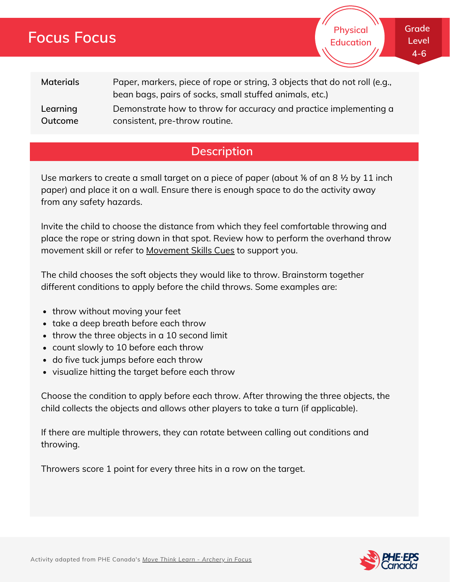## **Focus Focus**

**Grade Level 4-6**

**Physical Education**

| <b>Materials</b> | Paper, markers, piece of rope or string, 3 objects that do not roll (e.g.,<br>bean bags, pairs of socks, small stuffed animals, etc.) |
|------------------|---------------------------------------------------------------------------------------------------------------------------------------|
| Learning         | Demonstrate how to throw for accuracy and practice implementing a                                                                     |
| Outcome          | consistent, pre-throw routine.                                                                                                        |

### **Description**

Use markers to create a small target on a piece of paper (about % of an 8  $\frac{1}{2}$  by 11 inch paper) and place it on a wall. Ensure there is enough space to do the activity away from any safety hazards.

Invite the child to choose the distance from which they feel comfortable throwing and place the rope or string down in that spot. Review how to perform the overhand throw movement skill or refer to [Movement](http://phecanada.ca/movementskillscues) Skills Cues to support you.

The child chooses the soft objects they would like to throw. Brainstorm together different conditions to apply before the child throws. Some examples are:

- throw without moving your feet
- take a deep breath before each throw
- throw the three objects in a 10 second limit
- count slowly to 10 before each throw
- do five tuck jumps before each throw
- visualize hitting the target before each throw

Choose the condition to apply before each throw. After throwing the three objects, the child collects the objects and allows other players to take a turn (if applicable).

If there are multiple throwers, they can rotate between calling out conditions and throwing.

Throwers score 1 point for every three hits in a row on the target.